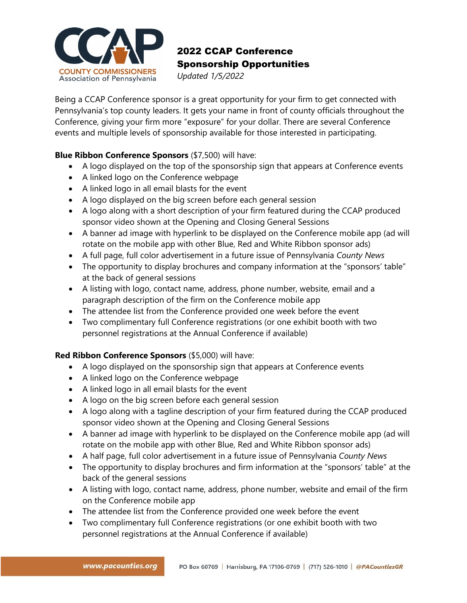

## 2022 CCAP Conference Sponsorship Opportunities

*Updated 1/5/2022*

Being a CCAP Conference sponsor is a great opportunity for your firm to get connected with Pennsylvania's top county leaders. It gets your name in front of county officials throughout the Conference, giving your firm more "exposure" for your dollar. There are several Conference events and multiple levels of sponsorship available for those interested in participating.

## **Blue Ribbon Conference Sponsors** (\$7,500) will have:

- A logo displayed on the top of the sponsorship sign that appears at Conference events
- A linked logo on the Conference webpage
- A linked logo in all email blasts for the event
- A logo displayed on the big screen before each general session
- A logo along with a short description of your firm featured during the CCAP produced sponsor video shown at the Opening and Closing General Sessions
- A banner ad image with hyperlink to be displayed on the Conference mobile app (ad will rotate on the mobile app with other Blue, Red and White Ribbon sponsor ads)
- A full page, full color advertisement in a future issue of Pennsylvania *County News*
- The opportunity to display brochures and company information at the "sponsors' table" at the back of general sessions
- A listing with logo, contact name, address, phone number, website, email and a paragraph description of the firm on the Conference mobile app
- The attendee list from the Conference provided one week before the event
- Two complimentary full Conference registrations (or one exhibit booth with two personnel registrations at the Annual Conference if available)

## **Red Ribbon Conference Sponsors** (\$5,000) will have:

- A logo displayed on the sponsorship sign that appears at Conference events
- A linked logo on the Conference webpage
- A linked logo in all email blasts for the event
- A logo on the big screen before each general session
- A logo along with a tagline description of your firm featured during the CCAP produced sponsor video shown at the Opening and Closing General Sessions
- A banner ad image with hyperlink to be displayed on the Conference mobile app (ad will rotate on the mobile app with other Blue, Red and White Ribbon sponsor ads)
- A half page, full color advertisement in a future issue of Pennsylvania *County News*
- The opportunity to display brochures and firm information at the "sponsors' table" at the back of the general sessions
- A listing with logo, contact name, address, phone number, website and email of the firm on the Conference mobile app
- The attendee list from the Conference provided one week before the event
- Two complimentary full Conference registrations (or one exhibit booth with two personnel registrations at the Annual Conference if available)